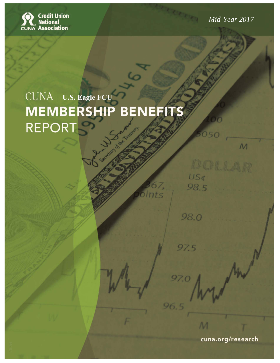

*Mid-Year 2017* 

 $\mathcal{M}$ 

US¢

98.5

98.0

97.5

97.0

96.5

# CUNA U.S. Eagle FCU **MEMBERSHIP BENEFITS REPORT**

Z.

cuna.org/research

M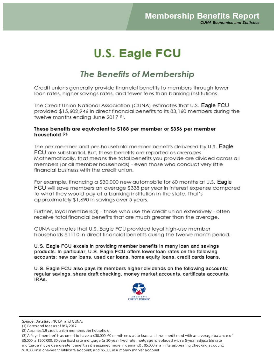## **U.S. Eagle FCU**

## The Benefits of Membership

Credit unions generally provide financial benefits to members through lower loan rates, higher savings rates, and fewer fees than banking institutions.

The Credit Union National Association (CUNA) estimates that U.S. Eagle FCU provided \$15,602,946 in direct financial benefits to its 83,160 members during the twelve months ending June 2017 (1).

#### These benefits are equivalent to \$188 per member or \$356 per member household (2).

The per-member and per-household member benefits delivered by U.S. Eagle **FCU** are substantial. But, these benefits are reported as averages. Mathematically, that means the total benefits you provide are divided across all members (or all member households) - even those who conduct very little financial business with the credit union.

For example, financing a \$30,000 new automobile for 60 months at U.S. Eagle **FCU** will save members an average \$338 per year in interest expense compared to what they would pay at a banking institution in the state. That's approximately \$1,690 in savings over 5 years.

Further, loyal members(3) - those who use the credit union extensively - often receive total financial benefits that are much greater than the average.

CUNA estimates that U.S. Eagle FCU provided loyal high-use member households \$1110 in direct financial benefits during the twelve month period.

U.S. Eagle FCU excels in providing member benefits in many loan and savings products. In particular, U.S. Eagle FCU offers lower loan rates on the following accounts: new car loans, used car loans, home equity loans, credit cards loans.

U.S. Eagle FCU also pays its members higher dividends on the following accounts: regular savings, share draft checking, money market accounts, certificate accounts, IRAs.



Source: Datatrac, NCUA, and CUNA.

<sup>(1)</sup> Rates and fees as of 8/7/2017.

<sup>(2)</sup> Assumes 1.9 credit union members per household.

<sup>(3)</sup> A "loyal member" is assumed to have a \$30,000, 60-month new auto loan, a classic credit card with an average balance of \$5,000, a \$200,000, 30-year fixed rate mortgage (a 30-year fixed rate mortgage is replaced with a 5-year adjustable rate mortgage if it yields a greater benefit as it is assumed more in demand) , \$5,000 in an interest-bearing checking account, \$10,000 in a one-year certificate account, and \$5,000 in a money market account.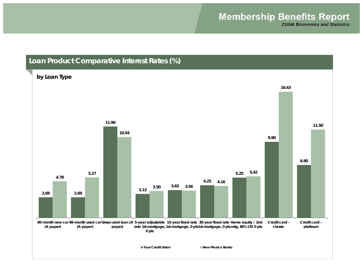#### **Loan Product Comparative Interest Rates (%)**

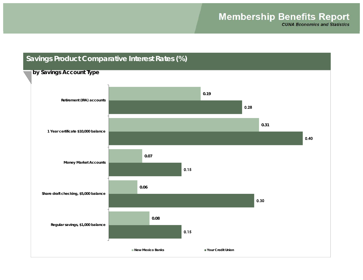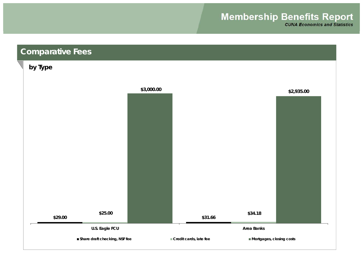## **Membership Benefits Report**

**CUNA Economics and Statistics** 

### **Comparative Fees**

#### **by Type**

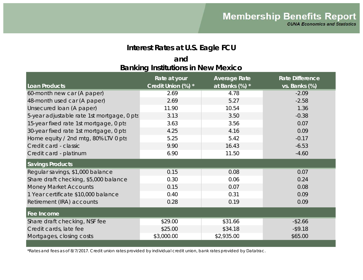#### **Interest Rates at U.S. Eagle FCU**

#### **Banking Institutions in New Mexico and**

| Loan Products                              | Rate at your<br>Credit Union (%) * | <b>Average Rate</b><br>at Banks (%) * | <b>Rate Difference</b><br>vs. Banks (%) |
|--------------------------------------------|------------------------------------|---------------------------------------|-----------------------------------------|
| 60-month new car (A paper)                 | 2.69                               | 4.78                                  | $-2.09$                                 |
| 48-month used car (A paper)                | 2.69                               | 5.27                                  | $-2.58$                                 |
| Unsecured Ioan (A paper)                   | 11.90                              | 10.54                                 | 1.36                                    |
| 5-year adjustable rate 1st mortgage, 0 pts | 3.13                               | 3.50                                  | $-0.38$                                 |
| 15-year fixed rate 1st mortgage, 0 pts     | 3.63                               | 3.56                                  | 0.07                                    |
| 30-year fixed rate 1st mortgage, 0 pts     | 4.25                               | 4.16                                  | 0.09                                    |
| Home equity / 2nd mtg, 80% LTV 0 pts       | 5.25                               | 5.42                                  | $-0.17$                                 |
| Credit card - classic                      | 9.90                               | 16.43                                 | $-6.53$                                 |
| Credit card - platinum                     | 6.90                               | 11.50                                 | $-4.60$                                 |
| <b>Savings Products</b>                    |                                    |                                       |                                         |
| Regular savings, \$1,000 balance           | 0.15                               | 0.08                                  | 0.07                                    |
| Share draft checking, \$5,000 balance      | 0.30                               | 0.06                                  | 0.24                                    |
| <b>Money Market Accounts</b>               | 0.15                               | 0.07                                  | 0.08                                    |
| 1 Year certificate \$10,000 balance        | 0.40                               | 0.31                                  | 0.09                                    |
| Retirement (IRA) accounts                  | 0.28                               | 0.19                                  | 0.09                                    |
| Fee Income                                 |                                    |                                       |                                         |
| Share draft checking, NSF fee              | \$29.00                            | \$31.66                               | $-$ \$2.66                              |
| Credit cards, late fee                     | \$25.00                            | \$34.18                               | $-$ \$9.18                              |
| Mortgages, closing costs                   | \$3,000.00                         | \$2,935.00                            | \$65.00                                 |

\*Rates and fees as of 8/7/2017. Credit union rates provided by individual credit union, bank rates provided by Datatrac.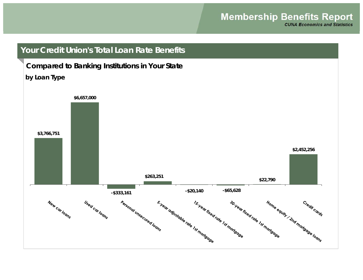**CUNA Economics and Statistics** 

#### **Your Credit Union's Total Loan Rate Benefits**

#### **Compared to Banking Institutions in Your State**

#### **by Loan Type**

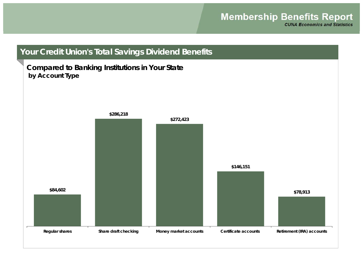## **Your Credit Union's Total Savings Dividend Benefits**

#### **Compared to Banking Institutions in Your State by Account Type**

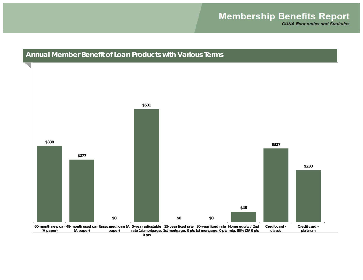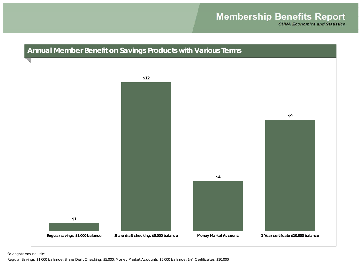#### **Annual Member Benefit on Savings Products with Various Terms**



Savings terms include:

Regular Savings: \$1,000 balance; Share Draft Checking: \$5,000; Money Market Accounts: \$5,000 balance; 1-Yr Certificates: \$10,000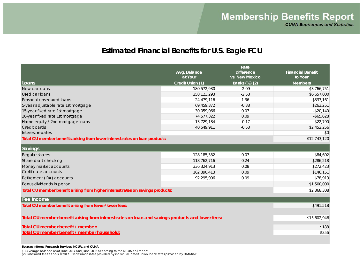#### **Estimated Financial Benefits for U.S. Eagle FCU**

|                                                                                                  | Avg. Balance     | Rate<br><b>Difference</b> | <b>Financial Benefit</b> |
|--------------------------------------------------------------------------------------------------|------------------|---------------------------|--------------------------|
|                                                                                                  | at Your          | vs. New Mexico            | to Your                  |
| Loans                                                                                            | Credit Union (1) | Banks (%) (2)             | <b>Members</b>           |
| New car loans                                                                                    | 180,572,930      | $-2.09$                   | \$3,766,751              |
| Used car loans                                                                                   | 258,123,293      | $-2.58$                   | \$6,657,000              |
| Personal unsecured loans                                                                         | 24,479,116       | 1.36                      | $-$ \$333,161            |
| 5-year adjustable rate 1st mortgage                                                              | 69,459,372       | $-0.38$                   | \$263,251                |
| 15-year fixed rate 1st mortgage                                                                  | 30,059,066       | 0.07                      | $-$20,140$               |
| 30-year fixed rate 1st mortgage                                                                  | 74,577,322       | 0.09                      | $-$ \$65,628             |
| Home equity / 2nd mortgage loans                                                                 | 13,729,184       | $-0.17$                   | \$22,790                 |
| Credit cards                                                                                     | 40,549,911       | $-6.53$                   | \$2,452,256              |
| Interest rebates                                                                                 |                  |                           | \$0                      |
| Total CU member benefits arising from lower interest rates on loan products:                     |                  |                           | \$12,743,120             |
| Savings                                                                                          |                  |                           |                          |
| Regular shares                                                                                   | 128,185,332      | 0.07                      | \$84,602                 |
| Share draft checking                                                                             | 118,762,716      | 0.24                      | \$286,218                |
| Money market accounts                                                                            | 336,324,913      | 0.08                      | \$272,423                |
| Certificate accounts                                                                             | 162,390,413      | 0.09                      | \$146,151                |
| Retirement (IRA) accounts                                                                        | 92,295,906       | 0.09                      | \$78,913                 |
| Bonus dividends in period                                                                        |                  |                           | \$1,500,000              |
| Total CU member benefit arising from higher interest rates on savings products:                  | \$2,368,308      |                           |                          |
| Fee Income                                                                                       |                  |                           |                          |
| Total CU member benefit arising from fewer/lower fees:                                           |                  |                           | \$491,518                |
|                                                                                                  |                  |                           |                          |
| Total CU member benefit arising from interest rates on loan and savings products and lower fees: | \$15,602,946     |                           |                          |
|                                                                                                  |                  |                           |                          |
| Total CU member benefit / member:                                                                | \$188            |                           |                          |
| Total CU member benefit / member household:                                                      | \$356            |                           |                          |
|                                                                                                  |                  |                           |                          |

#### **Source: Informa Research Services, NCUA, and CUNA**

(1) Average balance as of June 2017 and June 2016 according to the NCUA call report.

(2) Rates and fees as of 8/7/2017. Credit union rates provided by individual credit union, bank rates provided by Datatrac.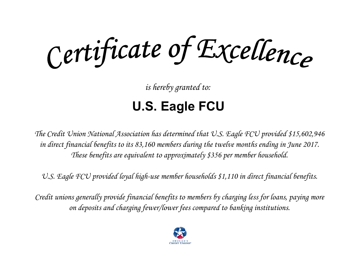Certificate of Excellence

*is hereby granted to:*

# **U.S. Eagle FCU**

*The Credit Union National Association has determined that U.S. Eagle FCU provided \$15,602,946 in direct financial benefits to its 83,160 members during the twelve months ending in June 2017. These benefits are equivalent to approximately \$356 per member household.*

*U.S. Eagle FCU provided loyal high-use member households \$1,110 in direct financial benefits.*

*Credit unions generally provide financial benefits to members by charging less for loans, paying more on deposits and charging fewer/lower fees compared to banking institutions.*